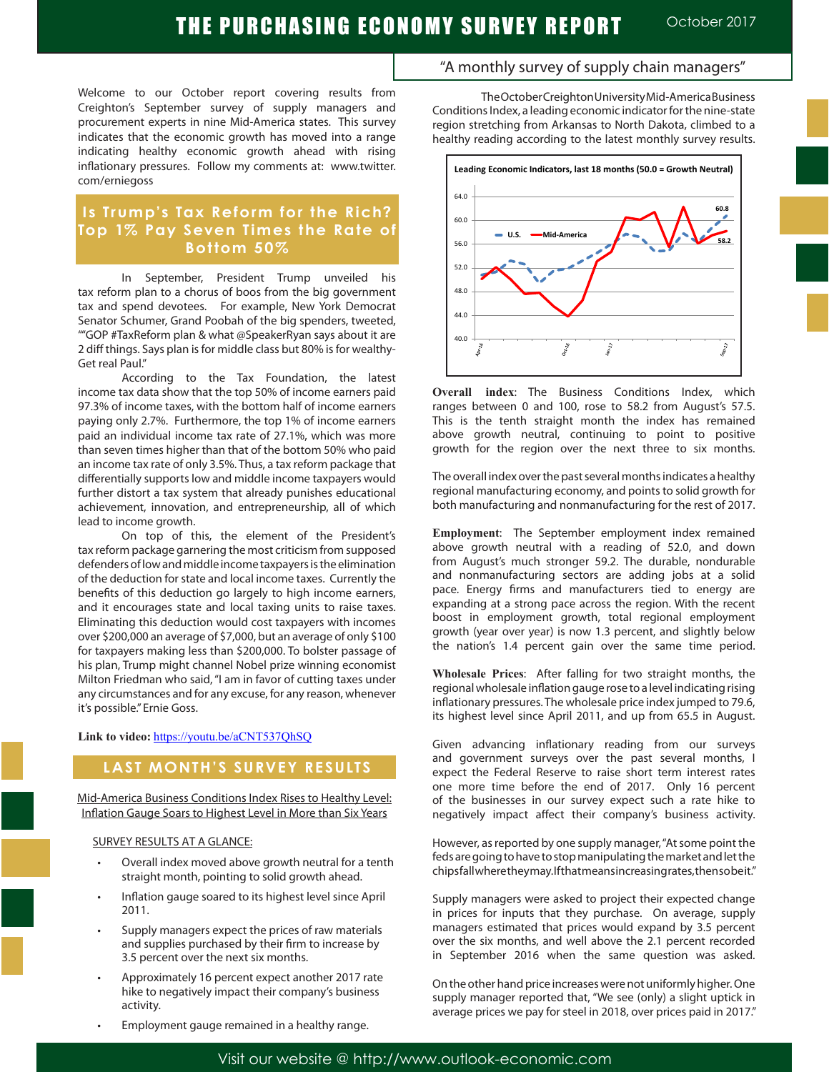## THE PURCHASING ECONOMY SURVEY REPORT October 2017

Welcome to our October report covering results from Creighton's September survey of supply managers and procurement experts in nine Mid-America states. This survey indicates that the economic growth has moved into a range indicating healthy economic growth ahead with rising inflationary pressures. Follow my comments at: www.twitter. com/erniegoss

## **Is Trump's Tax Reform for the Rich? Top 1% Pay Seven Times the Rate of Bottom 50%**

In September, President Trump unveiled his tax reform plan to a chorus of boos from the big government tax and spend devotees. For example, New York Democrat Senator Schumer, Grand Poobah of the big spenders, tweeted, ""GOP #TaxReform plan & what @SpeakerRyan says about it are 2 diff things. Says plan is for middle class but 80% is for wealthy-Get real Paul."

According to the Tax Foundation, the latest income tax data show that the top 50% of income earners paid 97.3% of income taxes, with the bottom half of income earners paying only 2.7%. Furthermore, the top 1% of income earners paid an individual income tax rate of 27.1%, which was more than seven times higher than that of the bottom 50% who paid an income tax rate of only 3.5%. Thus, a tax reform package that differentially supports low and middle income taxpayers would further distort a tax system that already punishes educational achievement, innovation, and entrepreneurship, all of which lead to income growth.

On top of this, the element of the President's tax reform package garnering the most criticism from supposed defenders of low and middle income taxpayers is the elimination of the deduction for state and local income taxes. Currently the benefits of this deduction go largely to high income earners, and it encourages state and local taxing units to raise taxes. Eliminating this deduction would cost taxpayers with incomes over \$200,000 an average of \$7,000, but an average of only \$100 for taxpayers making less than \$200,000. To bolster passage of his plan, Trump might channel Nobel prize winning economist Milton Friedman who said, "I am in favor of cutting taxes under any circumstances and for any excuse, for any reason, whenever it's possible." Ernie Goss.

#### **Link to video:** https://youtu.be/aCNT537QhSQ

## **LAST MONTH'S SURVEY RESULTS**

Mid-America Business Conditions Index Rises to Healthy Level: Inflation Gauge Soars to Highest Level in More than Six Years

#### SURVEY RESULTS AT A GLANCE:

- Overall index moved above growth neutral for a tenth straight month, pointing to solid growth ahead.
- Inflation gauge soared to its highest level since April 2011.
- Supply managers expect the prices of raw materials and supplies purchased by their firm to increase by 3.5 percent over the next six months.
- Approximately 16 percent expect another 2017 rate hike to negatively impact their company's business activity.

healthy reading according to the latest monthly survey results. **Leading Economic Indicators, last 18 months (50.0 = Growth Neutral)**



"A monthly survey of supply chain managers"

Conditions Index, a leading economic indicator for the nine-state region stretching from Arkansas to North Dakota, climbed to a

The October Creighton University Mid-America Business

**Overall index**: The Business Conditions Index, which ranges between 0 and 100, rose to 58.2 from August's 57.5. This is the tenth straight month the index has remained above growth neutral, continuing to point to positive growth for the region over the next three to six months.

The overall index over the past several months indicates a healthy regional manufacturing economy, and points to solid growth for both manufacturing and nonmanufacturing for the rest of 2017.

**Employment**: The September employment index remained above growth neutral with a reading of 52.0, and down from August's much stronger 59.2. The durable, nondurable and nonmanufacturing sectors are adding jobs at a solid pace. Energy firms and manufacturers tied to energy are expanding at a strong pace across the region. With the recent boost in employment growth, total regional employment growth (year over year) is now 1.3 percent, and slightly below the nation's 1.4 percent gain over the same time period.

**Wholesale Prices**: After falling for two straight months, the regional wholesale inflation gauge rose to a level indicating rising inflationary pressures. The wholesale price index jumped to 79.6, its highest level since April 2011, and up from 65.5 in August.

Given advancing inflationary reading from our surveys and government surveys over the past several months, I expect the Federal Reserve to raise short term interest rates one more time before the end of 2017. Only 16 percent of the businesses in our survey expect such a rate hike to negatively impact affect their company's business activity.

However, as reported by one supply manager, "At some point the feds are going to have to stop manipulating the market and let the chips fall where they may. If that means increasing rates, then so be it."

Supply managers were asked to project their expected change in prices for inputs that they purchase. On average, supply managers estimated that prices would expand by 3.5 percent over the six months, and well above the 2.1 percent recorded in September 2016 when the same question was asked.

On the other hand price increases were not uniformly higher. One supply manager reported that, "We see (only) a slight uptick in average prices we pay for steel in 2018, over prices paid in 2017."

Employment gauge remained in a healthy range.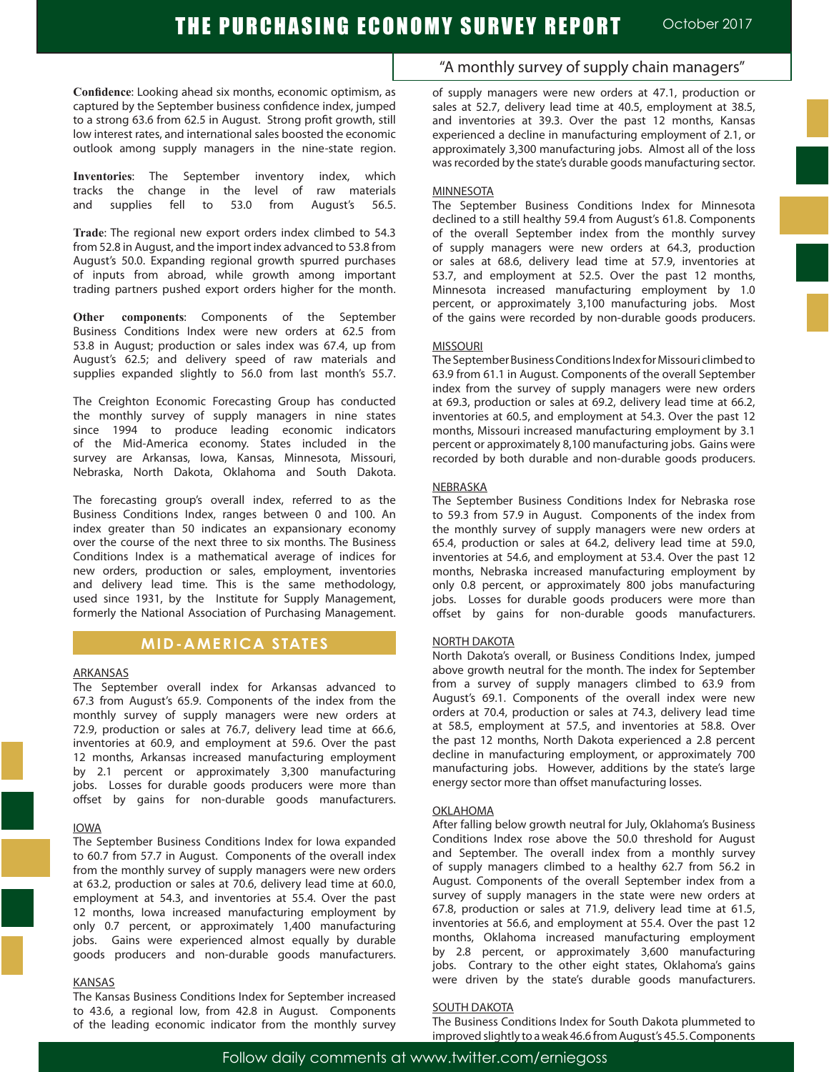**Confidence**: Looking ahead six months, economic optimism, as captured by the September business confidence index, jumped to a strong 63.6 from 62.5 in August. Strong profit growth, still low interest rates, and international sales boosted the economic outlook among supply managers in the nine-state region.

**Inventories**: The September inventory index, which tracks the change in the level of raw materials and supplies fell to 53.0 from August's 56.5.

**Trade**: The regional new export orders index climbed to 54.3 from 52.8 in August, and the import index advanced to 53.8 from August's 50.0. Expanding regional growth spurred purchases of inputs from abroad, while growth among important trading partners pushed export orders higher for the month.

**Other components**: Components of the September Business Conditions Index were new orders at 62.5 from 53.8 in August; production or sales index was 67.4, up from August's 62.5; and delivery speed of raw materials and supplies expanded slightly to 56.0 from last month's 55.7.

The Creighton Economic Forecasting Group has conducted the monthly survey of supply managers in nine states since 1994 to produce leading economic indicators of the Mid-America economy. States included in the survey are Arkansas, Iowa, Kansas, Minnesota, Missouri, Nebraska, North Dakota, Oklahoma and South Dakota.

The forecasting group's overall index, referred to as the Business Conditions Index, ranges between 0 and 100. An index greater than 50 indicates an expansionary economy over the course of the next three to six months. The Business Conditions Index is a mathematical average of indices for new orders, production or sales, employment, inventories and delivery lead time. This is the same methodology, used since 1931, by the Institute for Supply Management, formerly the National Association of Purchasing Management.

### **MID-AMERICA STATES**

#### ARKANSAS

The September overall index for Arkansas advanced to 67.3 from August's 65.9. Components of the index from the monthly survey of supply managers were new orders at 72.9, production or sales at 76.7, delivery lead time at 66.6, inventories at 60.9, and employment at 59.6. Over the past 12 months, Arkansas increased manufacturing employment by 2.1 percent or approximately 3,300 manufacturing jobs. Losses for durable goods producers were more than offset by gains for non-durable goods manufacturers.

#### IOWA

The September Business Conditions Index for Iowa expanded to 60.7 from 57.7 in August. Components of the overall index from the monthly survey of supply managers were new orders at 63.2, production or sales at 70.6, delivery lead time at 60.0, employment at 54.3, and inventories at 55.4. Over the past 12 months, Iowa increased manufacturing employment by only 0.7 percent, or approximately 1,400 manufacturing jobs. Gains were experienced almost equally by durable goods producers and non-durable goods manufacturers.

#### KANSAS

The Kansas Business Conditions Index for September increased to 43.6, a regional low, from 42.8 in August. Components of the leading economic indicator from the monthly survey

## "A monthly survey of supply chain managers"

of supply managers were new orders at 47.1, production or sales at 52.7, delivery lead time at 40.5, employment at 38.5, and inventories at 39.3. Over the past 12 months, Kansas experienced a decline in manufacturing employment of 2.1, or approximately 3,300 manufacturing jobs. Almost all of the loss was recorded by the state's durable goods manufacturing sector.

#### MINNESOTA

The September Business Conditions Index for Minnesota declined to a still healthy 59.4 from August's 61.8. Components of the overall September index from the monthly survey of supply managers were new orders at 64.3, production or sales at 68.6, delivery lead time at 57.9, inventories at 53.7, and employment at 52.5. Over the past 12 months, Minnesota increased manufacturing employment by 1.0 percent, or approximately 3,100 manufacturing jobs. Most of the gains were recorded by non-durable goods producers.

#### MISSOURI

The September Business Conditions Index for Missouri climbed to 63.9 from 61.1 in August. Components of the overall September index from the survey of supply managers were new orders at 69.3, production or sales at 69.2, delivery lead time at 66.2, inventories at 60.5, and employment at 54.3. Over the past 12 months, Missouri increased manufacturing employment by 3.1 percent or approximately 8,100 manufacturing jobs. Gains were recorded by both durable and non-durable goods producers.

#### NEBRASKA

The September Business Conditions Index for Nebraska rose to 59.3 from 57.9 in August. Components of the index from the monthly survey of supply managers were new orders at 65.4, production or sales at 64.2, delivery lead time at 59.0, inventories at 54.6, and employment at 53.4. Over the past 12 months, Nebraska increased manufacturing employment by only 0.8 percent, or approximately 800 jobs manufacturing jobs. Losses for durable goods producers were more than offset by gains for non-durable goods manufacturers.

#### NORTH DAKOTA

North Dakota's overall, or Business Conditions Index, jumped above growth neutral for the month. The index for September from a survey of supply managers climbed to 63.9 from August's 69.1. Components of the overall index were new orders at 70.4, production or sales at 74.3, delivery lead time at 58.5, employment at 57.5, and inventories at 58.8. Over the past 12 months, North Dakota experienced a 2.8 percent decline in manufacturing employment, or approximately 700 manufacturing jobs. However, additions by the state's large energy sector more than offset manufacturing losses.

#### **OKLAHOMA**

After falling below growth neutral for July, Oklahoma's Business Conditions Index rose above the 50.0 threshold for August and September. The overall index from a monthly survey of supply managers climbed to a healthy 62.7 from 56.2 in August. Components of the overall September index from a survey of supply managers in the state were new orders at 67.8, production or sales at 71.9, delivery lead time at 61.5, inventories at 56.6, and employment at 55.4. Over the past 12 months, Oklahoma increased manufacturing employment by 2.8 percent, or approximately 3,600 manufacturing jobs. Contrary to the other eight states, Oklahoma's gains were driven by the state's durable goods manufacturers.

#### SOUTH DAKOTA

The Business Conditions Index for South Dakota plummeted to improved slightly to aweak 46.6 from August's 45.5.Components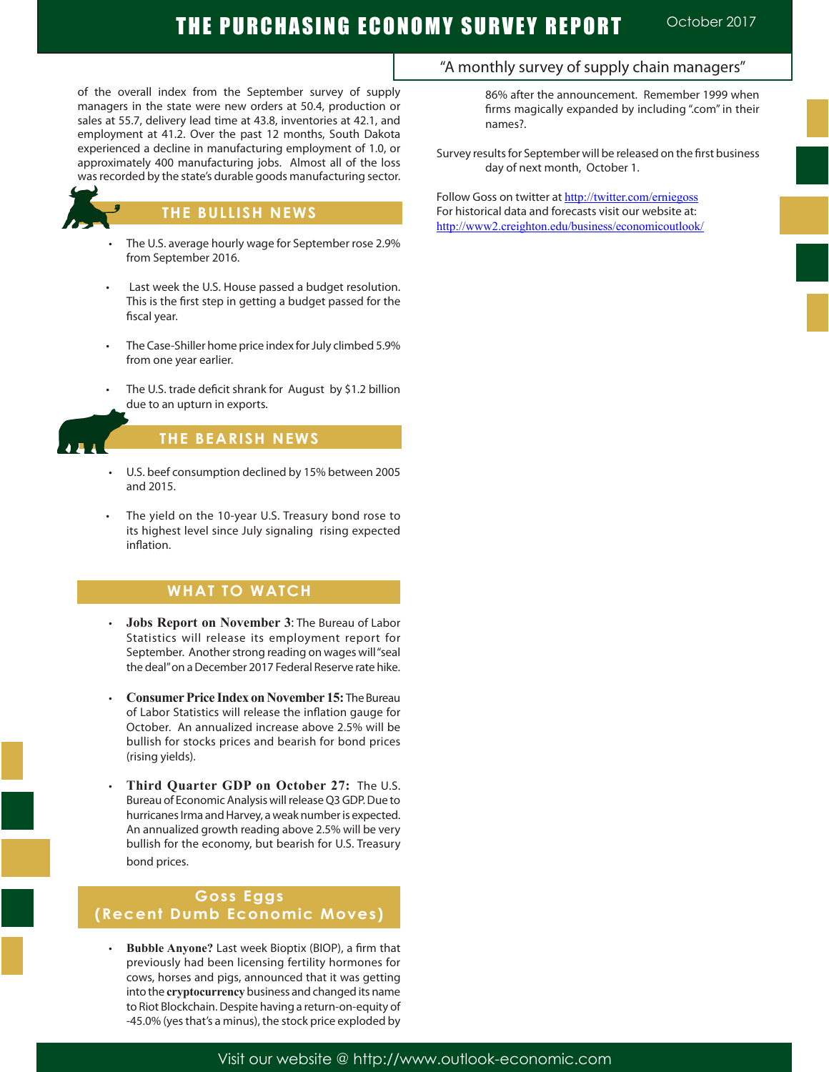# THE PURCHASING ECONOMY SURVEY REPORT **October 2017**

of the overall index from the September survey of supply managers in the state were new orders at 50.4, production or sales at 55.7, delivery lead time at 43.8, inventories at 42.1, and employment at 41.2. Over the past 12 months, South Dakota experienced a decline in manufacturing employment of 1.0, or approximately 400 manufacturing jobs. Almost all of the loss was recorded by the state's durable goods manufacturing sector.



Ĩ

### **THE BULLISH NEWS**

- The U.S. average hourly wage for September rose 2.9% from September 2016.
- Last week the U.S. House passed a budget resolution. This is the first step in getting a budget passed for the fiscal year.
- The Case-Shiller home price index for July climbed 5.9% from one year earlier.
- The U.S. trade deficit shrank for August by \$1.2 billion due to an upturn in exports.

## **THE BEARISH NEWS**

- U.S. beef consumption declined by 15% between 2005 and 2015.
- The yield on the 10-year U.S. Treasury bond rose to its highest level since July signaling rising expected inflation.

## **WHAT TO WATCH**

- **Jobs Report on November 3: The Bureau of Labor** Statistics will release its employment report for September. Another strong reading on wages will "seal the deal" on a December 2017 Federal Reserve rate hike.
- **Consumer Price Index on November 15: The Bureau** of Labor Statistics will release the inflation gauge for October. An annualized increase above 2.5% will be bullish for stocks prices and bearish for bond prices (rising yields).
- **Third Quarter GDP on October 27:** The U.S. Bureau of Economic Analysis will release Q3 GDP. Due to hurricanes Irma and Harvey, a weak number is expected. An annualized growth reading above 2.5% will be very bullish for the economy, but bearish for U.S. Treasury bond prices.

## **Goss Eggs (Recent Dumb Economic Moves)**

**Bubble Anyone?** Last week Bioptix (BIOP), a firm that previously had been licensing fertility hormones for cows, horses and pigs, announced that it was getting into the **cryptocurrency** business and changed its name to Riot Blockchain.Despite having a return-on-equity of -45.0% (yes that's a minus), the stock price exploded by

## "A monthly survey of supply chain managers"

86% after the announcement. Remember 1999 when firms magically expanded by including ".com" in their names?.

Survey results for September will be released on the first business day of next month, October 1.

Follow Goss on twitter at http://twitter.com/erniegoss For historical data and forecasts visit our website at: http://www2.creighton.edu/business/economicoutlook/